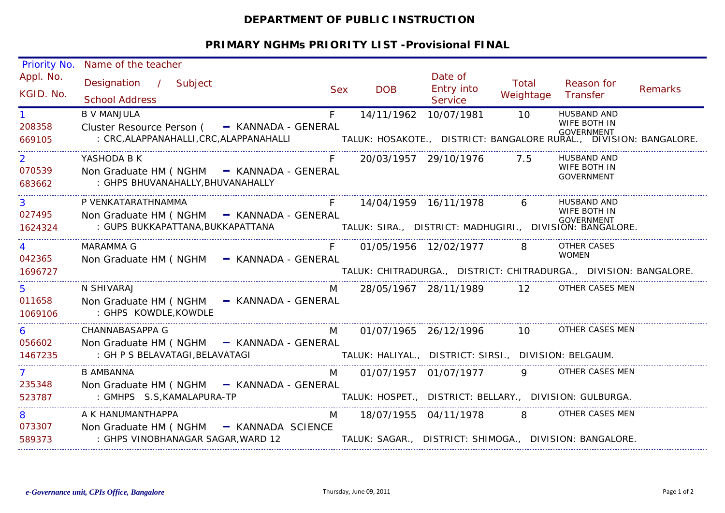## **DEPARTMENT OF PUBLIC INSTRUCTION**

## **PRIMARY NGHMs PRIORITY LIST -Provisional FINAL**

| <b>Priority No.</b> | Name of the teacher                           |            |                                                       |                                     |           |                                                                                      |                |
|---------------------|-----------------------------------------------|------------|-------------------------------------------------------|-------------------------------------|-----------|--------------------------------------------------------------------------------------|----------------|
| Appl. No.           | Designation / Subject                         |            |                                                       | Date of                             | Total     | Reason for                                                                           |                |
| KGID. No.           | <b>School Address</b>                         | <b>Sex</b> | <b>DOB</b>                                            | <b>Entry into</b><br><b>Service</b> | Weightage | Transfer                                                                             | <b>Remarks</b> |
|                     | <b>B V MANJULA</b>                            | $F -$      | 14/11/1962 10/07/1981                                 |                                     | 10        | <b>HUSBAND AND</b>                                                                   |                |
| 208358              | Cluster Resource Person ( - KANNADA - GENERAL |            |                                                       |                                     |           | WIFE BOTH IN                                                                         |                |
| 669105              | : CRC, ALAPPANAHALLI, CRC, ALAPPANAHALLI      |            |                                                       |                                     |           | GOVERNMENT<br>.TALUK: HOSAKOTE.,   DISTRICT: BANGALORE RURAL.,   DIVISION: BANGALORE |                |
| $\overline{2}$      | YASHODA B K                                   |            |                                                       | 20/03/1957 29/10/1976 7.5           |           | HUSBAND AND                                                                          |                |
| 070539              | Non Graduate HM ( NGHM - KANNADA - GENERAL    |            |                                                       |                                     |           | WIFE BOTH IN<br><b>GOVERNMENT</b>                                                    |                |
| 683662              | : GHPS BHUVANAHALLY, BHUVANAHALLY             |            |                                                       |                                     |           |                                                                                      |                |
| $3^{\circ}$         | P VENKATARATHNAMMA                            | F          |                                                       | 14/04/1959 16/11/1978 6             |           | HUSBAND AND                                                                          |                |
| 027495              | Non Graduate HM ( NGHM - KANNADA - GENERAL    |            |                                                       |                                     |           | WIFE BOTH IN                                                                         |                |
| 1624324             |                                               |            |                                                       |                                     |           |                                                                                      |                |
| $\overline{4}$      | <b>MARAMMA G</b>                              | $F -$      | 01/05/1956 12/02/1977 8 OTHER CASES                   |                                     |           |                                                                                      |                |
| 042365              | Non Graduate HM (NGHM - KANNADA - GENERAL     |            |                                                       |                                     |           | <b>WOMEN</b>                                                                         |                |
| 1696727             |                                               |            |                                                       |                                     |           | TALUK: CHITRADURGA., DISTRICT: CHITRADURGA., DIVISION: BANGALORE.                    |                |
| 5.                  | N SHIVARAJ                                    | M          |                                                       | 28/05/1967 28/11/1989 12            |           | OTHER CASES MEN                                                                      |                |
| 011658              | Non Graduate HM ( NGHM - KANNADA - GENERAL    |            |                                                       |                                     |           |                                                                                      |                |
| 1069106             | : GHPS KOWDLE, KOWDLE                         |            |                                                       |                                     |           |                                                                                      |                |
| 6                   | CHANNABASAPPA G                               | M          |                                                       | 01/07/1965 26/12/1996               |           | 10 OTHER CASES MEN                                                                   |                |
| 056602              | Non Graduate HM ( NGHM - KANNADA - GENERAL    |            |                                                       |                                     |           |                                                                                      |                |
| 1467235             | : GH P S BELAVATAGI, BELAVATAGI               |            | TALUK: HALIYAL., DISTRICT: SIRSI., DIVISION: BELGAUM. |                                     |           |                                                                                      |                |
|                     | B AMBANNA                                     |            | M 01/07/1957 01/07/1977                               |                                     |           | 9 OTHER CASES MEN                                                                    |                |
| 235348              | Non Graduate HM ( NGHM - KANNADA - GENERAL    |            |                                                       |                                     |           |                                                                                      |                |
| 523787              | : GMHPS S.S, KAMALAPURA-TP                    |            |                                                       |                                     |           | TALUK: HOSPET., DISTRICT: BELLARY., DIVISION: GULBURGA.                              |                |
| 8                   | A K HANUMANTHAPPA                             |            |                                                       |                                     |           | M 18/07/1955 04/11/1978 8 OTHER CASES MEN                                            |                |
| 073307              | Non Graduate HM (NGHM - KANNADA SCIENCE       |            |                                                       |                                     |           |                                                                                      |                |
| 589373              | : GHPS VINOBHANAGAR SAGAR, WARD 12            |            |                                                       |                                     |           | TALUK: SAGAR., DISTRICT: SHIMOGA., DIVISION: BANGALORE.                              |                |